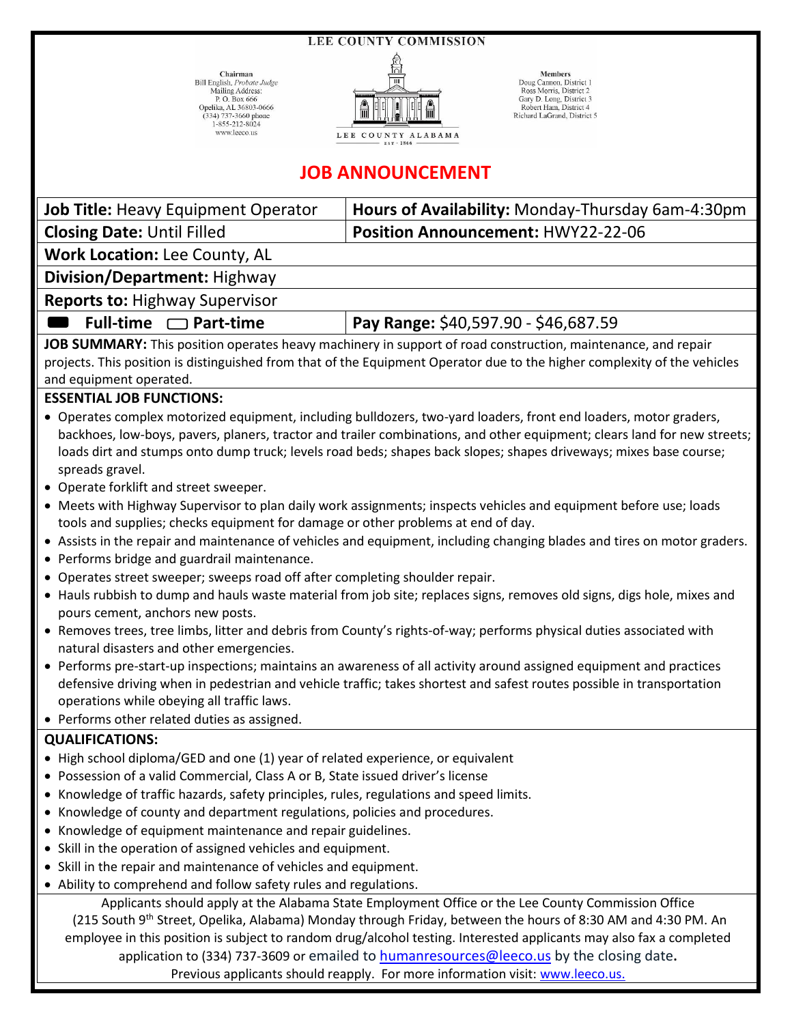**LEE COUNTY COMMISSION** 

Chairman Bill English, Probate Judge Mailing Address:<br>P. O. Box 666 Opelika, AL 36803-0666 (334) 737-3660 phone<br>1-855-212-8024 www.leeco.us



Members Doug Cannon, District 1 Ross Morris District 2 Gary D. Long, District 3 Robert Ham, District 4 Richard LaGrand, District 5

## **JOB ANNOUNCEMENT**

**Job Title:** Heavy Equipment Operator | **Hours of Availability:** Monday-Thursday 6am-4:30pm

**Closing Date:** Until Filled **Position Announcement:** HWY22-22-06

**Work Location:** Lee County, AL

**Division/Department:** Highway

**Reports to:** Highway Supervisor

**Full-time □ Part-time | Pay Range:** \$40,597.90 - \$46,687.59

**JOB SUMMARY:** This position operates heavy machinery in support of road construction, maintenance, and repair projects. This position is distinguished from that of the Equipment Operator due to the higher complexity of the vehicles and equipment operated.

## **ESSENTIAL JOB FUNCTIONS:**

- Operates complex motorized equipment, including bulldozers, two-yard loaders, front end loaders, motor graders, backhoes, low-boys, pavers, planers, tractor and trailer combinations, and other equipment; clears land for new streets; loads dirt and stumps onto dump truck; levels road beds; shapes back slopes; shapes driveways; mixes base course; spreads gravel.
- Operate forklift and street sweeper.
- Meets with Highway Supervisor to plan daily work assignments; inspects vehicles and equipment before use; loads tools and supplies; checks equipment for damage or other problems at end of day.
- Assists in the repair and maintenance of vehicles and equipment, including changing blades and tires on motor graders.
- Performs bridge and guardrail maintenance.
- Operates street sweeper; sweeps road off after completing shoulder repair.
- Hauls rubbish to dump and hauls waste material from job site; replaces signs, removes old signs, digs hole, mixes and pours cement, anchors new posts.
- Removes trees, tree limbs, litter and debris from County's rights-of-way; performs physical duties associated with natural disasters and other emergencies.
- Performs pre-start-up inspections; maintains an awareness of all activity around assigned equipment and practices defensive driving when in pedestrian and vehicle traffic; takes shortest and safest routes possible in transportation operations while obeying all traffic laws.
- Performs other related duties as assigned.

## **QUALIFICATIONS:**

- High school diploma/GED and one (1) year of related experience, or equivalent
- Possession of a valid Commercial, Class A or B, State issued driver's license
- Knowledge of traffic hazards, safety principles, rules, regulations and speed limits.
- Knowledge of county and department regulations, policies and procedures.
- Knowledge of equipment maintenance and repair guidelines.
- Skill in the operation of assigned vehicles and equipment.
- Skill in the repair and maintenance of vehicles and equipment.
- Ability to comprehend and follow safety rules and regulations.

Applicants should apply at the Alabama State Employment Office or the Lee County Commission Office (215 South 9<sup>th</sup> Street, Opelika, Alabama) Monday through Friday, between the hours of 8:30 AM and 4:30 PM. An employee in this position is subject to random drug/alcohol testing. Interested applicants may also fax a completed application to (334) 737-3609 or emailed to [humanresources@leeco.us](mailto:humanresources@leeco.us) by the closing date**.** Previous applicants should reapply. For more information visit[: www.leeco.us.](http://www.leeco.us/)